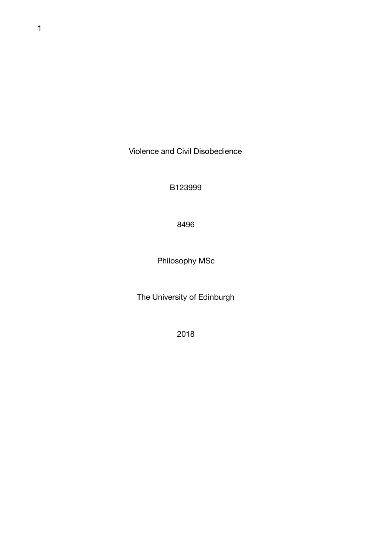Violence and Civil Disobedience

B123999

8496

Philosophy MSc

The University of Edinburgh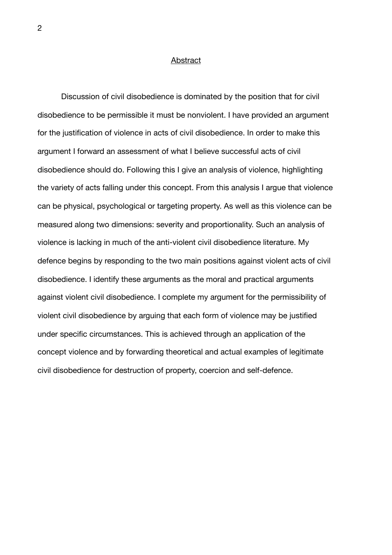#### Abstract

Discussion of civil disobedience is dominated by the position that for civil disobedience to be permissible it must be nonviolent. I have provided an argument for the justification of violence in acts of civil disobedience. In order to make this argument I forward an assessment of what I believe successful acts of civil disobedience should do. Following this I give an analysis of violence, highlighting the variety of acts falling under this concept. From this analysis I argue that violence can be physical, psychological or targeting property. As well as this violence can be measured along two dimensions: severity and proportionality. Such an analysis of violence is lacking in much of the anti-violent civil disobedience literature. My defence begins by responding to the two main positions against violent acts of civil disobedience. I identify these arguments as the moral and practical arguments against violent civil disobedience. I complete my argument for the permissibility of violent civil disobedience by arguing that each form of violence may be justified under specific circumstances. This is achieved through an application of the concept violence and by forwarding theoretical and actual examples of legitimate civil disobedience for destruction of property, coercion and self-defence.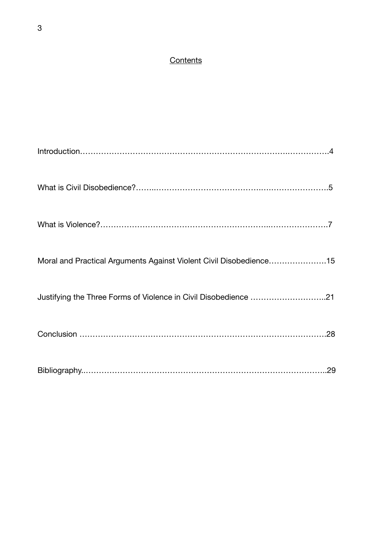# **Contents**

| Moral and Practical Arguments Against Violent Civil Disobedience15 |
|--------------------------------------------------------------------|
| Justifying the Three Forms of Violence in Civil Disobedience 21    |
|                                                                    |
|                                                                    |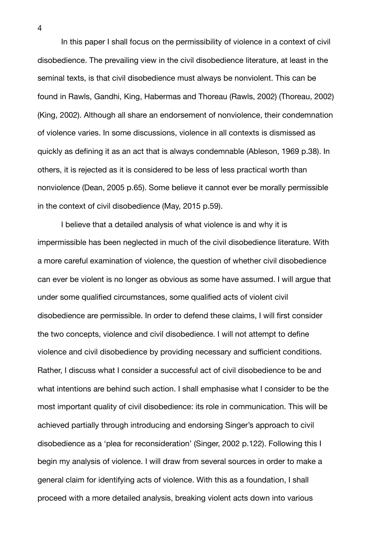In this paper I shall focus on the permissibility of violence in a context of civil disobedience. The prevailing view in the civil disobedience literature, at least in the seminal texts, is that civil disobedience must always be nonviolent. This can be found in Rawls, Gandhi, King, Habermas and Thoreau (Rawls, 2002) (Thoreau, 2002) (King, 2002). Although all share an endorsement of nonviolence, their condemnation of violence varies. In some discussions, violence in all contexts is dismissed as quickly as defining it as an act that is always condemnable (Ableson, 1969 p.38). In others, it is rejected as it is considered to be less of less practical worth than nonviolence (Dean, 2005 p.65). Some believe it cannot ever be morally permissible in the context of civil disobedience (May, 2015 p.59).

I believe that a detailed analysis of what violence is and why it is impermissible has been neglected in much of the civil disobedience literature. With a more careful examination of violence, the question of whether civil disobedience can ever be violent is no longer as obvious as some have assumed. I will argue that under some qualified circumstances, some qualified acts of violent civil disobedience are permissible. In order to defend these claims, I will first consider the two concepts, violence and civil disobedience. I will not attempt to define violence and civil disobedience by providing necessary and sufficient conditions. Rather, I discuss what I consider a successful act of civil disobedience to be and what intentions are behind such action. I shall emphasise what I consider to be the most important quality of civil disobedience: its role in communication. This will be achieved partially through introducing and endorsing Singer's approach to civil disobedience as a 'plea for reconsideration' (Singer, 2002 p.122). Following this I begin my analysis of violence. I will draw from several sources in order to make a general claim for identifying acts of violence. With this as a foundation, I shall proceed with a more detailed analysis, breaking violent acts down into various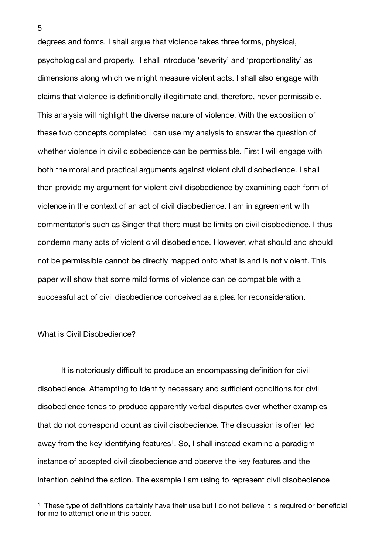degrees and forms. I shall argue that violence takes three forms, physical, psychological and property. I shall introduce 'severity' and 'proportionality' as dimensions along which we might measure violent acts. I shall also engage with claims that violence is definitionally illegitimate and, therefore, never permissible. This analysis will highlight the diverse nature of violence. With the exposition of these two concepts completed I can use my analysis to answer the question of whether violence in civil disobedience can be permissible. First I will engage with both the moral and practical arguments against violent civil disobedience. I shall then provide my argument for violent civil disobedience by examining each form of violence in the context of an act of civil disobedience. I am in agreement with commentator's such as Singer that there must be limits on civil disobedience. I thus condemn many acts of violent civil disobedience. However, what should and should not be permissible cannot be directly mapped onto what is and is not violent. This paper will show that some mild forms of violence can be compatible with a successful act of civil disobedience conceived as a plea for reconsideration.

### What is Civil Disobedience?

It is notoriously difficult to produce an encompassing definition for civil disobedience. Attempting to identify necessary and sufficient conditions for civil disobedience tends to produce apparently verbal disputes over whether examples that do not correspond count as civil disobedience. The discussion is often led away from the key identifying features<sup>[1](#page-4-0)</sup>. So, I shall instead examine a paradigm instance of accepted civil disobedience and observe the key features and the intention behind the action. The example I am using to represent civil disobedience

<span id="page-4-1"></span><span id="page-4-0"></span> $1$  These type of definitions certainly have their use but I do not believe it is required or beneficial for me to attempt one in this paper.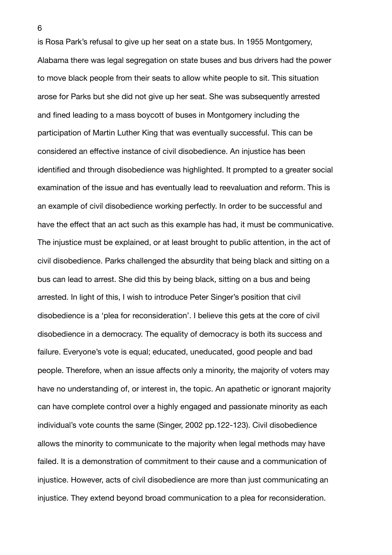is Rosa Park's refusal to give up her seat on a state bus. In 1955 Montgomery, Alabama there was legal segregation on state buses and bus drivers had the power to move black people from their seats to allow white people to sit. This situation arose for Parks but she did not give up her seat. She was subsequently arrested and fined leading to a mass boycott of buses in Montgomery including the participation of Martin Luther King that was eventually successful. This can be considered an effective instance of civil disobedience. An injustice has been identified and through disobedience was highlighted. It prompted to a greater social examination of the issue and has eventually lead to reevaluation and reform. This is an example of civil disobedience working perfectly. In order to be successful and have the effect that an act such as this example has had, it must be communicative. The injustice must be explained, or at least brought to public attention, in the act of civil disobedience. Parks challenged the absurdity that being black and sitting on a bus can lead to arrest. She did this by being black, sitting on a bus and being arrested. In light of this, I wish to introduce Peter Singer's position that civil disobedience is a 'plea for reconsideration'. I believe this gets at the core of civil disobedience in a democracy. The equality of democracy is both its success and failure. Everyone's vote is equal; educated, uneducated, good people and bad people. Therefore, when an issue affects only a minority, the majority of voters may have no understanding of, or interest in, the topic. An apathetic or ignorant majority can have complete control over a highly engaged and passionate minority as each individual's vote counts the same (Singer, 2002 pp.122-123). Civil disobedience allows the minority to communicate to the majority when legal methods may have failed. It is a demonstration of commitment to their cause and a communication of injustice. However, acts of civil disobedience are more than just communicating an injustice. They extend beyond broad communication to a plea for reconsideration.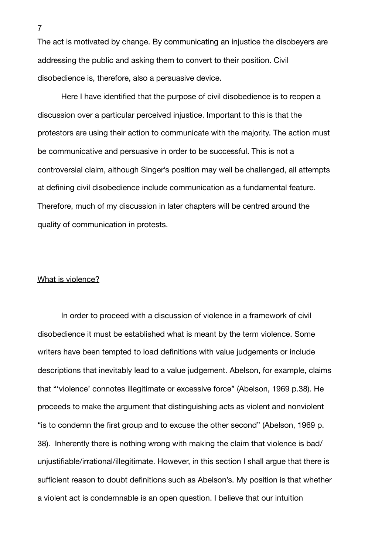The act is motivated by change. By communicating an injustice the disobeyers are addressing the public and asking them to convert to their position. Civil disobedience is, therefore, also a persuasive device.

Here I have identified that the purpose of civil disobedience is to reopen a discussion over a particular perceived injustice. Important to this is that the protestors are using their action to communicate with the majority. The action must be communicative and persuasive in order to be successful. This is not a controversial claim, although Singer's position may well be challenged, all attempts at defining civil disobedience include communication as a fundamental feature. Therefore, much of my discussion in later chapters will be centred around the quality of communication in protests.

## What is violence?

In order to proceed with a discussion of violence in a framework of civil disobedience it must be established what is meant by the term violence. Some writers have been tempted to load definitions with value judgements or include descriptions that inevitably lead to a value judgement. Abelson, for example, claims that "'violence' connotes illegitimate or excessive force" (Abelson, 1969 p.38). He proceeds to make the argument that distinguishing acts as violent and nonviolent "is to condemn the first group and to excuse the other second" (Abelson, 1969 p. 38). Inherently there is nothing wrong with making the claim that violence is bad/ unjustifiable/irrational/illegitimate. However, in this section I shall argue that there is sufficient reason to doubt definitions such as Abelson's. My position is that whether a violent act is condemnable is an open question. I believe that our intuition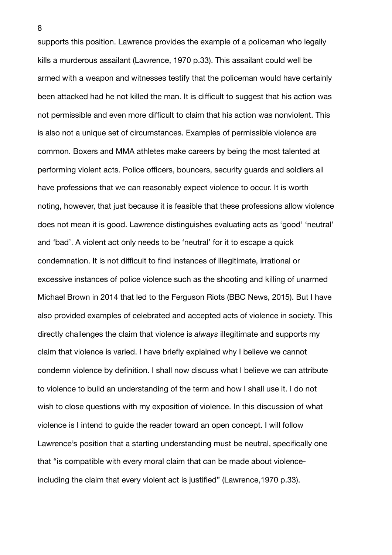supports this position. Lawrence provides the example of a policeman who legally kills a murderous assailant (Lawrence, 1970 p.33). This assailant could well be armed with a weapon and witnesses testify that the policeman would have certainly been attacked had he not killed the man. It is difficult to suggest that his action was not permissible and even more difficult to claim that his action was nonviolent. This is also not a unique set of circumstances. Examples of permissible violence are common. Boxers and MMA athletes make careers by being the most talented at performing violent acts. Police officers, bouncers, security guards and soldiers all have professions that we can reasonably expect violence to occur. It is worth noting, however, that just because it is feasible that these professions allow violence does not mean it is good. Lawrence distinguishes evaluating acts as 'good' 'neutral' and 'bad'. A violent act only needs to be 'neutral' for it to escape a quick condemnation. It is not difficult to find instances of illegitimate, irrational or excessive instances of police violence such as the shooting and killing of unarmed Michael Brown in 2014 that led to the Ferguson Riots (BBC News, 2015). But I have also provided examples of celebrated and accepted acts of violence in society. This directly challenges the claim that violence is *always* illegitimate and supports my claim that violence is varied. I have briefly explained why I believe we cannot condemn violence by definition. I shall now discuss what I believe we can attribute to violence to build an understanding of the term and how I shall use it. I do not wish to close questions with my exposition of violence. In this discussion of what violence is I intend to guide the reader toward an open concept. I will follow Lawrence's position that a starting understanding must be neutral, specifically one that "is compatible with every moral claim that can be made about violenceincluding the claim that every violent act is justified" (Lawrence,1970 p.33).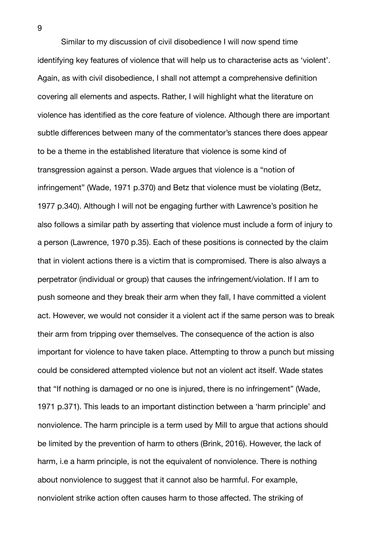Similar to my discussion of civil disobedience I will now spend time identifying key features of violence that will help us to characterise acts as 'violent'. Again, as with civil disobedience, I shall not attempt a comprehensive definition covering all elements and aspects. Rather, I will highlight what the literature on violence has identified as the core feature of violence. Although there are important subtle differences between many of the commentator's stances there does appear to be a theme in the established literature that violence is some kind of transgression against a person. Wade argues that violence is a "notion of infringement" (Wade, 1971 p.370) and Betz that violence must be violating (Betz, 1977 p.340). Although I will not be engaging further with Lawrence's position he also follows a similar path by asserting that violence must include a form of injury to a person (Lawrence, 1970 p.35). Each of these positions is connected by the claim that in violent actions there is a victim that is compromised. There is also always a perpetrator (individual or group) that causes the infringement/violation. If I am to push someone and they break their arm when they fall, I have committed a violent act. However, we would not consider it a violent act if the same person was to break their arm from tripping over themselves. The consequence of the action is also important for violence to have taken place. Attempting to throw a punch but missing could be considered attempted violence but not an violent act itself. Wade states that "If nothing is damaged or no one is injured, there is no infringement" (Wade, 1971 p.371). This leads to an important distinction between a 'harm principle' and nonviolence. The harm principle is a term used by Mill to argue that actions should be limited by the prevention of harm to others (Brink, 2016). However, the lack of harm, i.e a harm principle, is not the equivalent of nonviolence. There is nothing about nonviolence to suggest that it cannot also be harmful. For example, nonviolent strike action often causes harm to those affected. The striking of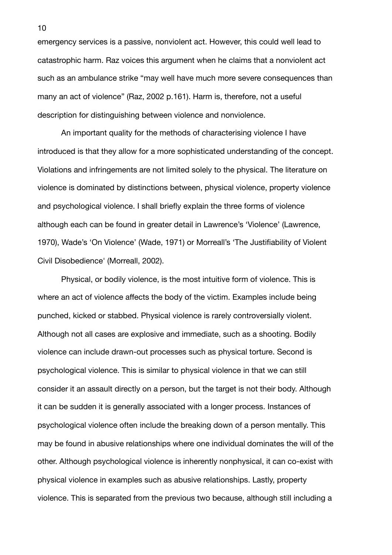emergency services is a passive, nonviolent act. However, this could well lead to catastrophic harm. Raz voices this argument when he claims that a nonviolent act such as an ambulance strike "may well have much more severe consequences than many an act of violence" (Raz, 2002 p.161). Harm is, therefore, not a useful description for distinguishing between violence and nonviolence.

An important quality for the methods of characterising violence I have introduced is that they allow for a more sophisticated understanding of the concept. Violations and infringements are not limited solely to the physical. The literature on violence is dominated by distinctions between, physical violence, property violence and psychological violence. I shall briefly explain the three forms of violence although each can be found in greater detail in Lawrence's 'Violence' (Lawrence, 1970), Wade's 'On Violence' (Wade, 1971) or Morreall's 'The Justifiability of Violent Civil Disobedience' (Morreall, 2002).

Physical, or bodily violence, is the most intuitive form of violence. This is where an act of violence affects the body of the victim. Examples include being punched, kicked or stabbed. Physical violence is rarely controversially violent. Although not all cases are explosive and immediate, such as a shooting. Bodily violence can include drawn-out processes such as physical torture. Second is psychological violence. This is similar to physical violence in that we can still consider it an assault directly on a person, but the target is not their body. Although it can be sudden it is generally associated with a longer process. Instances of psychological violence often include the breaking down of a person mentally. This may be found in abusive relationships where one individual dominates the will of the other. Although psychological violence is inherently nonphysical, it can co-exist with physical violence in examples such as abusive relationships. Lastly, property violence. This is separated from the previous two because, although still including a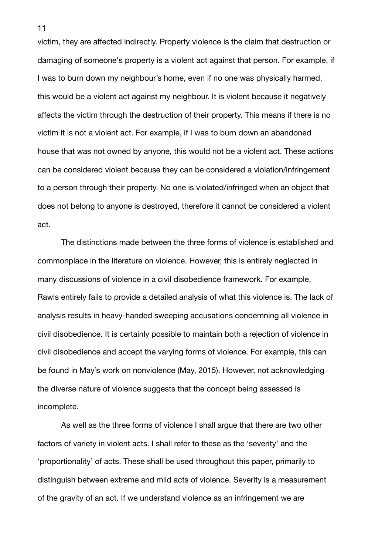victim, they are affected indirectly. Property violence is the claim that destruction or damaging of someone's property is a violent act against that person. For example, if I was to burn down my neighbour's home, even if no one was physically harmed, this would be a violent act against my neighbour. It is violent because it negatively affects the victim through the destruction of their property. This means if there is no victim it is not a violent act. For example, if I was to burn down an abandoned house that was not owned by anyone, this would not be a violent act. These actions can be considered violent because they can be considered a violation/infringement to a person through their property. No one is violated/infringed when an object that does not belong to anyone is destroyed, therefore it cannot be considered a violent act.

The distinctions made between the three forms of violence is established and commonplace in the literature on violence. However, this is entirely neglected in many discussions of violence in a civil disobedience framework. For example, Rawls entirely fails to provide a detailed analysis of what this violence is. The lack of analysis results in heavy-handed sweeping accusations condemning all violence in civil disobedience. It is certainly possible to maintain both a rejection of violence in civil disobedience and accept the varying forms of violence. For example, this can be found in May's work on nonviolence (May, 2015). However, not acknowledging the diverse nature of violence suggests that the concept being assessed is incomplete.

As well as the three forms of violence I shall argue that there are two other factors of variety in violent acts. I shall refer to these as the 'severity' and the 'proportionality' of acts. These shall be used throughout this paper, primarily to distinguish between extreme and mild acts of violence. Severity is a measurement of the gravity of an act. If we understand violence as an infringement we are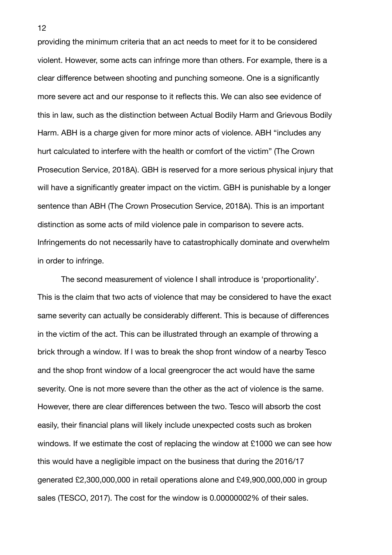providing the minimum criteria that an act needs to meet for it to be considered violent. However, some acts can infringe more than others. For example, there is a clear difference between shooting and punching someone. One is a significantly more severe act and our response to it reflects this. We can also see evidence of this in law, such as the distinction between Actual Bodily Harm and Grievous Bodily Harm. ABH is a charge given for more minor acts of violence. ABH "includes any hurt calculated to interfere with the health or comfort of the victim" (The Crown Prosecution Service, 2018A). GBH is reserved for a more serious physical injury that will have a significantly greater impact on the victim. GBH is punishable by a longer sentence than ABH (The Crown Prosecution Service, 2018A). This is an important distinction as some acts of mild violence pale in comparison to severe acts. Infringements do not necessarily have to catastrophically dominate and overwhelm in order to infringe.

The second measurement of violence I shall introduce is 'proportionality'. This is the claim that two acts of violence that may be considered to have the exact same severity can actually be considerably different. This is because of differences in the victim of the act. This can be illustrated through an example of throwing a brick through a window. If I was to break the shop front window of a nearby Tesco and the shop front window of a local greengrocer the act would have the same severity. One is not more severe than the other as the act of violence is the same. However, there are clear differences between the two. Tesco will absorb the cost easily, their financial plans will likely include unexpected costs such as broken windows. If we estimate the cost of replacing the window at £1000 we can see how this would have a negligible impact on the business that during the 2016/17 generated £2,300,000,000 in retail operations alone and £49,900,000,000 in group sales (TESCO, 2017). The cost for the window is 0.00000002% of their sales.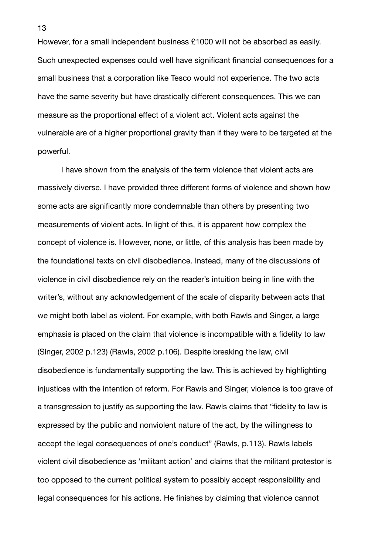However, for a small independent business £1000 will not be absorbed as easily. Such unexpected expenses could well have significant financial consequences for a small business that a corporation like Tesco would not experience. The two acts have the same severity but have drastically different consequences. This we can measure as the proportional effect of a violent act. Violent acts against the vulnerable are of a higher proportional gravity than if they were to be targeted at the powerful.

I have shown from the analysis of the term violence that violent acts are massively diverse. I have provided three different forms of violence and shown how some acts are significantly more condemnable than others by presenting two measurements of violent acts. In light of this, it is apparent how complex the concept of violence is. However, none, or little, of this analysis has been made by the foundational texts on civil disobedience. Instead, many of the discussions of violence in civil disobedience rely on the reader's intuition being in line with the writer's, without any acknowledgement of the scale of disparity between acts that we might both label as violent. For example, with both Rawls and Singer, a large emphasis is placed on the claim that violence is incompatible with a fidelity to law (Singer, 2002 p.123) (Rawls, 2002 p.106). Despite breaking the law, civil disobedience is fundamentally supporting the law. This is achieved by highlighting injustices with the intention of reform. For Rawls and Singer, violence is too grave of a transgression to justify as supporting the law. Rawls claims that "fidelity to law is expressed by the public and nonviolent nature of the act, by the willingness to accept the legal consequences of one's conduct" (Rawls, p.113). Rawls labels violent civil disobedience as 'militant action' and claims that the militant protestor is too opposed to the current political system to possibly accept responsibility and legal consequences for his actions. He finishes by claiming that violence cannot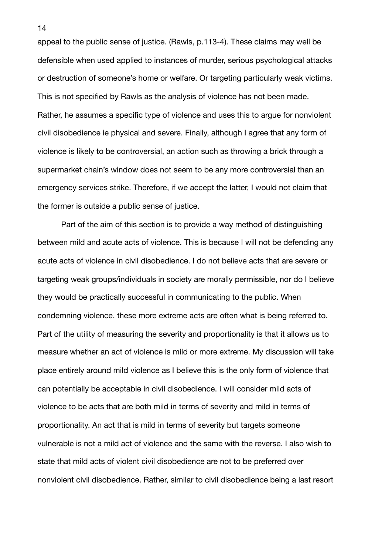appeal to the public sense of justice. (Rawls, p.113-4). These claims may well be defensible when used applied to instances of murder, serious psychological attacks or destruction of someone's home or welfare. Or targeting particularly weak victims. This is not specified by Rawls as the analysis of violence has not been made. Rather, he assumes a specific type of violence and uses this to argue for nonviolent civil disobedience ie physical and severe. Finally, although I agree that any form of violence is likely to be controversial, an action such as throwing a brick through a supermarket chain's window does not seem to be any more controversial than an emergency services strike. Therefore, if we accept the latter, I would not claim that the former is outside a public sense of justice.

Part of the aim of this section is to provide a way method of distinguishing between mild and acute acts of violence. This is because I will not be defending any acute acts of violence in civil disobedience. I do not believe acts that are severe or targeting weak groups/individuals in society are morally permissible, nor do I believe they would be practically successful in communicating to the public. When condemning violence, these more extreme acts are often what is being referred to. Part of the utility of measuring the severity and proportionality is that it allows us to measure whether an act of violence is mild or more extreme. My discussion will take place entirely around mild violence as I believe this is the only form of violence that can potentially be acceptable in civil disobedience. I will consider mild acts of violence to be acts that are both mild in terms of severity and mild in terms of proportionality. An act that is mild in terms of severity but targets someone vulnerable is not a mild act of violence and the same with the reverse. I also wish to state that mild acts of violent civil disobedience are not to be preferred over nonviolent civil disobedience. Rather, similar to civil disobedience being a last resort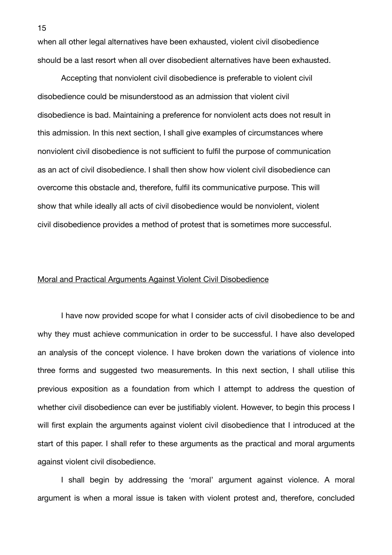when all other legal alternatives have been exhausted, violent civil disobedience should be a last resort when all over disobedient alternatives have been exhausted.

Accepting that nonviolent civil disobedience is preferable to violent civil disobedience could be misunderstood as an admission that violent civil disobedience is bad. Maintaining a preference for nonviolent acts does not result in this admission. In this next section, I shall give examples of circumstances where nonviolent civil disobedience is not sufficient to fulfil the purpose of communication as an act of civil disobedience. I shall then show how violent civil disobedience can overcome this obstacle and, therefore, fulfil its communicative purpose. This will show that while ideally all acts of civil disobedience would be nonviolent, violent civil disobedience provides a method of protest that is sometimes more successful.

## Moral and Practical Arguments Against Violent Civil Disobedience

I have now provided scope for what I consider acts of civil disobedience to be and why they must achieve communication in order to be successful. I have also developed an analysis of the concept violence. I have broken down the variations of violence into three forms and suggested two measurements. In this next section, I shall utilise this previous exposition as a foundation from which I attempt to address the question of whether civil disobedience can ever be justifiably violent. However, to begin this process I will first explain the arguments against violent civil disobedience that I introduced at the start of this paper. I shall refer to these arguments as the practical and moral arguments against violent civil disobedience.

I shall begin by addressing the 'moral' argument against violence. A moral argument is when a moral issue is taken with violent protest and, therefore, concluded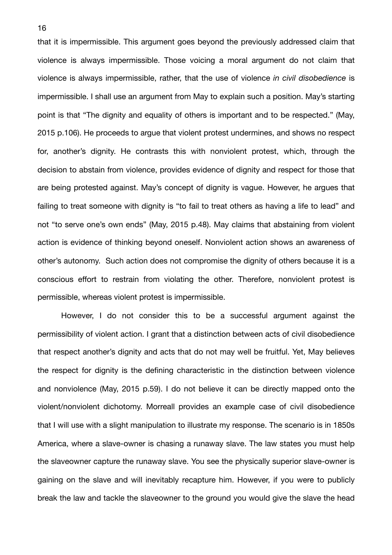that it is impermissible. This argument goes beyond the previously addressed claim that violence is always impermissible. Those voicing a moral argument do not claim that violence is always impermissible, rather, that the use of violence *in civil disobedience* is impermissible. I shall use an argument from May to explain such a position. May's starting point is that "The dignity and equality of others is important and to be respected." (May, 2015 p.106). He proceeds to argue that violent protest undermines, and shows no respect for, another's dignity. He contrasts this with nonviolent protest, which, through the decision to abstain from violence, provides evidence of dignity and respect for those that are being protested against. May's concept of dignity is vague. However, he argues that failing to treat someone with dignity is "to fail to treat others as having a life to lead" and not "to serve one's own ends" (May, 2015 p.48). May claims that abstaining from violent action is evidence of thinking beyond oneself. Nonviolent action shows an awareness of other's autonomy. Such action does not compromise the dignity of others because it is a conscious effort to restrain from violating the other. Therefore, nonviolent protest is permissible, whereas violent protest is impermissible.

However, I do not consider this to be a successful argument against the permissibility of violent action. I grant that a distinction between acts of civil disobedience that respect another's dignity and acts that do not may well be fruitful. Yet, May believes the respect for dignity is the defining characteristic in the distinction between violence and nonviolence (May, 2015 p.59). I do not believe it can be directly mapped onto the violent/nonviolent dichotomy. Morreall provides an example case of civil disobedience that I will use with a slight manipulation to illustrate my response. The scenario is in 1850s America, where a slave-owner is chasing a runaway slave. The law states you must help the slaveowner capture the runaway slave. You see the physically superior slave-owner is gaining on the slave and will inevitably recapture him. However, if you were to publicly break the law and tackle the slaveowner to the ground you would give the slave the head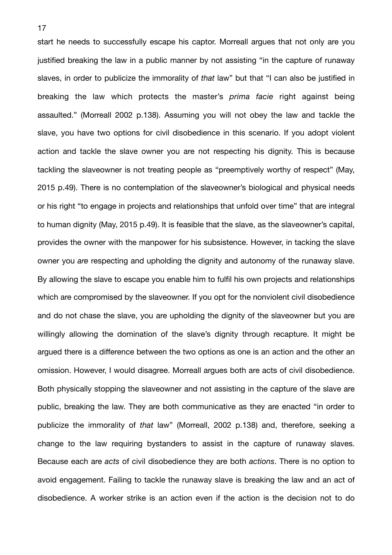start he needs to successfully escape his captor. Morreall argues that not only are you justified breaking the law in a public manner by not assisting "in the capture of runaway slaves, in order to publicize the immorality of *that* law" but that "I can also be justified in breaking the law which protects the master's *prima facie* right against being assaulted." (Morreall 2002 p.138). Assuming you will not obey the law and tackle the slave, you have two options for civil disobedience in this scenario. If you adopt violent action and tackle the slave owner you are not respecting his dignity. This is because tackling the slaveowner is not treating people as "preemptively worthy of respect" (May, 2015 p.49). There is no contemplation of the slaveowner's biological and physical needs or his right "to engage in projects and relationships that unfold over time" that are integral to human dignity (May, 2015 p.49). It is feasible that the slave, as the slaveowner's capital, provides the owner with the manpower for his subsistence. However, in tacking the slave owner you *are* respecting and upholding the dignity and autonomy of the runaway slave. By allowing the slave to escape you enable him to fulfil his own projects and relationships which are compromised by the slaveowner. If you opt for the nonviolent civil disobedience and do not chase the slave, you are upholding the dignity of the slaveowner but you are willingly allowing the domination of the slave's dignity through recapture. It might be argued there is a difference between the two options as one is an action and the other an omission. However, I would disagree. Morreall argues both are acts of civil disobedience. Both physically stopping the slaveowner and not assisting in the capture of the slave are public, breaking the law. They are both communicative as they are enacted "in order to publicize the immorality of *that* law" (Morreall, 2002 p.138) and, therefore, seeking a change to the law requiring bystanders to assist in the capture of runaway slaves. Because each are *acts* of civil disobedience they are both *actions*. There is no option to avoid engagement. Failing to tackle the runaway slave is breaking the law and an act of disobedience. A worker strike is an action even if the action is the decision not to do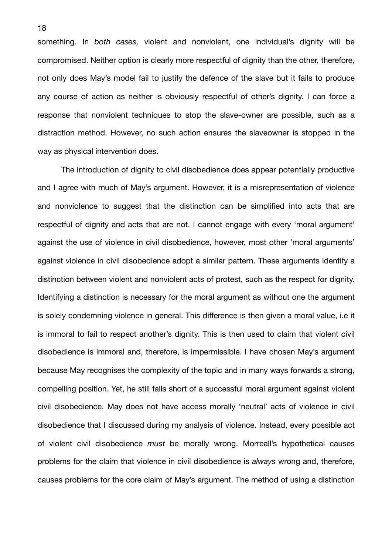something. In *both cases,* violent and nonviolent, one individual's dignity will be compromised. Neither option is clearly more respectful of dignity than the other, therefore, not only does May's model fail to justify the defence of the slave but it fails to produce any course of action as neither is obviously respectful of other's dignity. I can force a response that nonviolent techniques to stop the slave-owner are possible, such as a distraction method. However, no such action ensures the slaveowner is stopped in the way as physical intervention does.

The introduction of dignity to civil disobedience does appear potentially productive and I agree with much of May's argument. However, it is a misrepresentation of violence and nonviolence to suggest that the distinction can be simplified into acts that are respectful of dignity and acts that are not. I cannot engage with every 'moral argument' against the use of violence in civil disobedience, however, most other 'moral arguments' against violence in civil disobedience adopt a similar pattern. These arguments identify a distinction between violent and nonviolent acts of protest, such as the respect for dignity. Identifying a distinction is necessary for the moral argument as without one the argument is solely condemning violence in general. This difference is then given a moral value, i.e it is immoral to fail to respect another's dignity. This is then used to claim that violent civil disobedience is immoral and, therefore, is impermissible. I have chosen May's argument because May recognises the complexity of the topic and in many ways forwards a strong, compelling position. Yet, he still falls short of a successful moral argument against violent civil disobedience. May does not have access morally 'neutral' acts of violence in civil disobedience that I discussed during my analysis of violence. Instead, every possible act of violent civil disobedience *must* be morally wrong. Morreall's hypothetical causes problems for the claim that violence in civil disobedience is *always* wrong and, therefore, causes problems for the core claim of May's argument. The method of using a distinction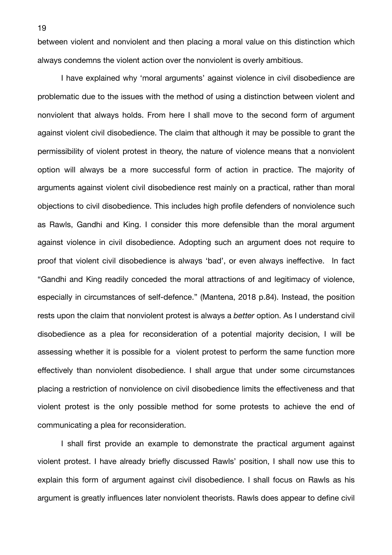between violent and nonviolent and then placing a moral value on this distinction which always condemns the violent action over the nonviolent is overly ambitious.

I have explained why 'moral arguments' against violence in civil disobedience are problematic due to the issues with the method of using a distinction between violent and nonviolent that always holds. From here I shall move to the second form of argument against violent civil disobedience. The claim that although it may be possible to grant the permissibility of violent protest in theory, the nature of violence means that a nonviolent option will always be a more successful form of action in practice. The majority of arguments against violent civil disobedience rest mainly on a practical, rather than moral objections to civil disobedience. This includes high profile defenders of nonviolence such as Rawls, Gandhi and King. I consider this more defensible than the moral argument against violence in civil disobedience. Adopting such an argument does not require to proof that violent civil disobedience is always 'bad', or even always ineffective. In fact "Gandhi and King readily conceded the moral attractions of and legitimacy of violence, especially in circumstances of self-defence." (Mantena, 2018 p.84). Instead, the position rests upon the claim that nonviolent protest is always a *better* option. As I understand civil disobedience as a plea for reconsideration of a potential majority decision, I will be assessing whether it is possible for a violent protest to perform the same function more effectively than nonviolent disobedience. I shall argue that under some circumstances placing a restriction of nonviolence on civil disobedience limits the effectiveness and that violent protest is the only possible method for some protests to achieve the end of communicating a plea for reconsideration.

I shall first provide an example to demonstrate the practical argument against violent protest. I have already briefly discussed Rawls' position, I shall now use this to explain this form of argument against civil disobedience. I shall focus on Rawls as his argument is greatly influences later nonviolent theorists. Rawls does appear to define civil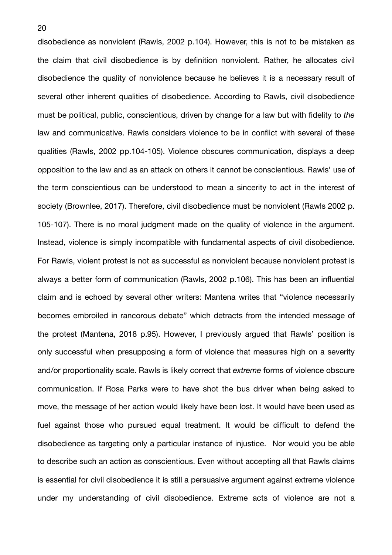disobedience as nonviolent (Rawls, 2002 p.104). However, this is not to be mistaken as the claim that civil disobedience is by definition nonviolent. Rather, he allocates civil disobedience the quality of nonviolence because he believes it is a necessary result of several other inherent qualities of disobedience. According to Rawls, civil disobedience must be political, public, conscientious, driven by change for *a* law but with fidelity to *the*  law and communicative. Rawls considers violence to be in conflict with several of these qualities (Rawls, 2002 pp.104-105). Violence obscures communication, displays a deep opposition to the law and as an attack on others it cannot be conscientious. Rawls' use of the term conscientious can be understood to mean a sincerity to act in the interest of society (Brownlee, 2017). Therefore, civil disobedience must be nonviolent (Rawls 2002 p. 105-107). There is no moral judgment made on the quality of violence in the argument. Instead, violence is simply incompatible with fundamental aspects of civil disobedience. For Rawls, violent protest is not as successful as nonviolent because nonviolent protest is always a better form of communication (Rawls, 2002 p.106). This has been an influential claim and is echoed by several other writers: Mantena writes that "violence necessarily becomes embroiled in rancorous debate" which detracts from the intended message of the protest (Mantena, 2018 p.95). However, I previously argued that Rawls' position is only successful when presupposing a form of violence that measures high on a severity and/or proportionality scale. Rawls is likely correct that *extreme* forms of violence obscure communication. If Rosa Parks were to have shot the bus driver when being asked to move, the message of her action would likely have been lost. It would have been used as fuel against those who pursued equal treatment. It would be difficult to defend the disobedience as targeting only a particular instance of injustice. Nor would you be able to describe such an action as conscientious. Even without accepting all that Rawls claims is essential for civil disobedience it is still a persuasive argument against extreme violence under my understanding of civil disobedience. Extreme acts of violence are not a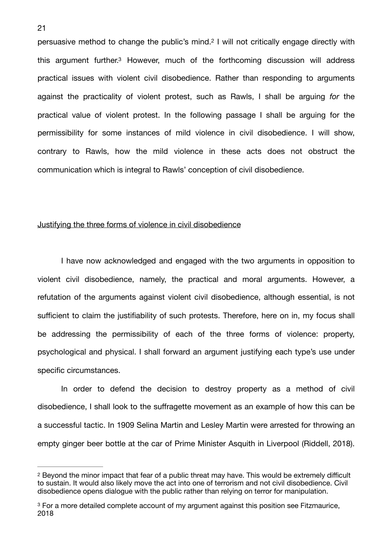<span id="page-20-3"></span><span id="page-20-2"></span>persuasive method to change the public's mind.<sup>[2](#page-20-0)</sup> I will not critically engage directly with this argument further.<sup>[3](#page-20-1)</sup> However, much of the forthcoming discussion will address practical issues with violent civil disobedience. Rather than responding to arguments against the practicality of violent protest, such as Rawls, I shall be arguing *for* the practical value of violent protest. In the following passage I shall be arguing for the permissibility for some instances of mild violence in civil disobedience. I will show, contrary to Rawls, how the mild violence in these acts does not obstruct the communication which is integral to Rawls' conception of civil disobedience.

## Justifying the three forms of violence in civil disobedience

I have now acknowledged and engaged with the two arguments in opposition to violent civil disobedience, namely, the practical and moral arguments. However, a refutation of the arguments against violent civil disobedience, although essential, is not sufficient to claim the justifiability of such protests. Therefore, here on in, my focus shall be addressing the permissibility of each of the three forms of violence: property, psychological and physical. I shall forward an argument justifying each type's use under specific circumstances.

In order to defend the decision to destroy property as a method of civil disobedience, I shall look to the suffragette movement as an example of how this can be a successful tactic. In 1909 Selina Martin and Lesley Martin were arrested for throwing an empty ginger beer bottle at the car of Prime Minister Asquith in Liverpool (Riddell, 2018).

<span id="page-20-0"></span>[<sup>2</sup>](#page-20-2) Beyond the minor impact that fear of a public threat may have. This would be extremely difficult to sustain. It would also likely move the act into one of terrorism and not civil disobedience. Civil disobedience opens dialogue with the public rather than relying on terror for manipulation.

<span id="page-20-1"></span><sup>&</sup>lt;sup>[3](#page-20-3)</sup> For a more detailed complete account of my argument against this position see Fitzmaurice, 2018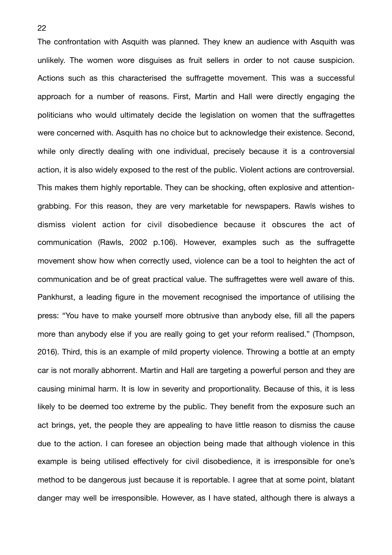The confrontation with Asquith was planned. They knew an audience with Asquith was unlikely. The women wore disguises as fruit sellers in order to not cause suspicion. Actions such as this characterised the suffragette movement. This was a successful approach for a number of reasons. First, Martin and Hall were directly engaging the politicians who would ultimately decide the legislation on women that the suffragettes were concerned with. Asquith has no choice but to acknowledge their existence. Second, while only directly dealing with one individual, precisely because it is a controversial action, it is also widely exposed to the rest of the public. Violent actions are controversial. This makes them highly reportable. They can be shocking, often explosive and attentiongrabbing. For this reason, they are very marketable for newspapers. Rawls wishes to dismiss violent action for civil disobedience because it obscures the act of communication (Rawls, 2002 p.106). However, examples such as the suffragette movement show how when correctly used, violence can be a tool to heighten the act of communication and be of great practical value. The suffragettes were well aware of this. Pankhurst, a leading figure in the movement recognised the importance of utilising the press: "You have to make yourself more obtrusive than anybody else, fill all the papers more than anybody else if you are really going to get your reform realised." (Thompson, 2016). Third, this is an example of mild property violence. Throwing a bottle at an empty car is not morally abhorrent. Martin and Hall are targeting a powerful person and they are causing minimal harm. It is low in severity and proportionality. Because of this, it is less likely to be deemed too extreme by the public. They benefit from the exposure such an act brings, yet, the people they are appealing to have little reason to dismiss the cause due to the action. I can foresee an objection being made that although violence in this example is being utilised effectively for civil disobedience, it is irresponsible for one's method to be dangerous just because it is reportable. I agree that at some point, blatant danger may well be irresponsible. However, as I have stated, although there is always a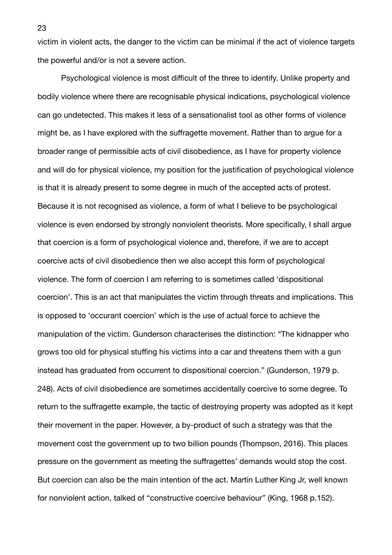victim in violent acts, the danger to the victim can be minimal if the act of violence targets the powerful and/or is not a severe action.

Psychological violence is most difficult of the three to identify. Unlike property and bodily violence where there are recognisable physical indications, psychological violence can go undetected. This makes it less of a sensationalist tool as other forms of violence might be, as I have explored with the suffragette movement. Rather than to argue for a broader range of permissible acts of civil disobedience, as I have for property violence and will do for physical violence, my position for the justification of psychological violence is that it is already present to some degree in much of the accepted acts of protest. Because it is not recognised as violence, a form of what I believe to be psychological violence is even endorsed by strongly nonviolent theorists. More specifically, I shall argue that coercion is a form of psychological violence and, therefore, if we are to accept coercive acts of civil disobedience then we also accept this form of psychological violence. The form of coercion I am referring to is sometimes called 'dispositional coercion'. This is an act that manipulates the victim through threats and implications. This is opposed to 'occurant coercion' which is the use of actual force to achieve the manipulation of the victim. Gunderson characterises the distinction: "The kidnapper who grows too old for physical stuffing his victims into a car and threatens them with a gun instead has graduated from occurrent to dispositional coercion." (Gunderson, 1979 p. 248). Acts of civil disobedience are sometimes accidentally coercive to some degree. To return to the suffragette example, the tactic of destroying property was adopted as it kept their movement in the paper. However, a by-product of such a strategy was that the movement cost the government up to two billion pounds (Thompson, 2016). This places pressure on the government as meeting the suffragettes' demands would stop the cost. But coercion can also be the main intention of the act. Martin Luther King Jr, well known for nonviolent action, talked of "constructive coercive behaviour" (King, 1968 p.152).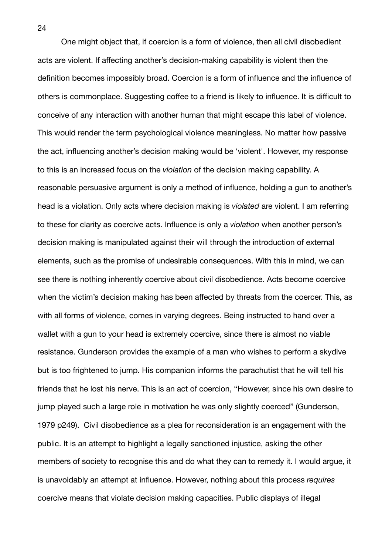One might object that, if coercion is a form of violence, then all civil disobedient acts are violent. If affecting another's decision-making capability is violent then the definition becomes impossibly broad. Coercion is a form of influence and the influence of others is commonplace. Suggesting coffee to a friend is likely to influence. It is difficult to conceive of any interaction with another human that might escape this label of violence. This would render the term psychological violence meaningless. No matter how passive the act, influencing another's decision making would be 'violent'. However, my response to this is an increased focus on the *violation* of the decision making capability. A reasonable persuasive argument is only a method of influence, holding a gun to another's head is a violation. Only acts where decision making is *violated* are violent. I am referring to these for clarity as coercive acts. Influence is only a *violation* when another person's decision making is manipulated against their will through the introduction of external elements, such as the promise of undesirable consequences. With this in mind, we can see there is nothing inherently coercive about civil disobedience. Acts become coercive when the victim's decision making has been affected by threats from the coercer. This, as with all forms of violence, comes in varying degrees. Being instructed to hand over a wallet with a gun to your head is extremely coercive, since there is almost no viable resistance. Gunderson provides the example of a man who wishes to perform a skydive but is too frightened to jump. His companion informs the parachutist that he will tell his friends that he lost his nerve. This is an act of coercion, "However, since his own desire to jump played such a large role in motivation he was only slightly coerced" (Gunderson, 1979 p249). Civil disobedience as a plea for reconsideration is an engagement with the public. It is an attempt to highlight a legally sanctioned injustice, asking the other members of society to recognise this and do what they can to remedy it. I would argue, it is unavoidably an attempt at influence. However, nothing about this process *requires* coercive means that violate decision making capacities. Public displays of illegal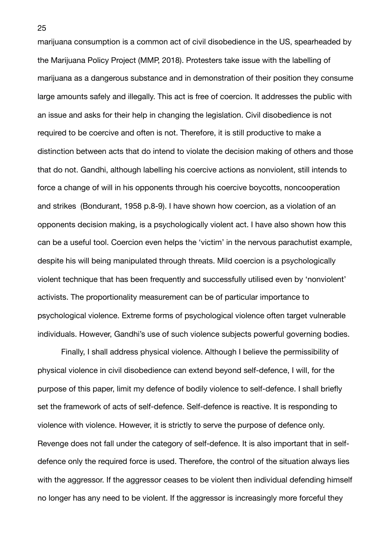marijuana consumption is a common act of civil disobedience in the US, spearheaded by the Marijuana Policy Project (MMP, 2018). Protesters take issue with the labelling of marijuana as a dangerous substance and in demonstration of their position they consume large amounts safely and illegally. This act is free of coercion. It addresses the public with an issue and asks for their help in changing the legislation. Civil disobedience is not required to be coercive and often is not. Therefore, it is still productive to make a distinction between acts that do intend to violate the decision making of others and those that do not. Gandhi, although labelling his coercive actions as nonviolent, still intends to force a change of will in his opponents through his coercive boycotts, noncooperation and strikes (Bondurant, 1958 p.8-9). I have shown how coercion, as a violation of an opponents decision making, is a psychologically violent act. I have also shown how this can be a useful tool. Coercion even helps the 'victim' in the nervous parachutist example, despite his will being manipulated through threats. Mild coercion is a psychologically violent technique that has been frequently and successfully utilised even by 'nonviolent' activists. The proportionality measurement can be of particular importance to psychological violence. Extreme forms of psychological violence often target vulnerable individuals. However, Gandhi's use of such violence subjects powerful governing bodies.

Finally, I shall address physical violence. Although I believe the permissibility of physical violence in civil disobedience can extend beyond self-defence, I will, for the purpose of this paper, limit my defence of bodily violence to self-defence. I shall briefly set the framework of acts of self-defence. Self-defence is reactive. It is responding to violence with violence. However, it is strictly to serve the purpose of defence only. Revenge does not fall under the category of self-defence. It is also important that in selfdefence only the required force is used. Therefore, the control of the situation always lies with the aggressor. If the aggressor ceases to be violent then individual defending himself no longer has any need to be violent. If the aggressor is increasingly more forceful they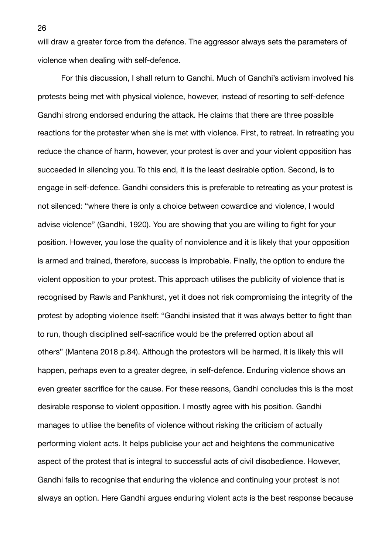will draw a greater force from the defence. The aggressor always sets the parameters of violence when dealing with self-defence.

For this discussion, I shall return to Gandhi. Much of Gandhi's activism involved his protests being met with physical violence, however, instead of resorting to self-defence Gandhi strong endorsed enduring the attack. He claims that there are three possible reactions for the protester when she is met with violence. First, to retreat. In retreating you reduce the chance of harm, however, your protest is over and your violent opposition has succeeded in silencing you. To this end, it is the least desirable option. Second, is to engage in self-defence. Gandhi considers this is preferable to retreating as your protest is not silenced: "where there is only a choice between cowardice and violence, I would advise violence" (Gandhi, 1920). You are showing that you are willing to fight for your position. However, you lose the quality of nonviolence and it is likely that your opposition is armed and trained, therefore, success is improbable. Finally, the option to endure the violent opposition to your protest. This approach utilises the publicity of violence that is recognised by Rawls and Pankhurst, yet it does not risk compromising the integrity of the protest by adopting violence itself: "Gandhi insisted that it was always better to fight than to run, though disciplined self-sacrifice would be the preferred option about all others" (Mantena 2018 p.84). Although the protestors will be harmed, it is likely this will happen, perhaps even to a greater degree, in self-defence. Enduring violence shows an even greater sacrifice for the cause. For these reasons, Gandhi concludes this is the most desirable response to violent opposition. I mostly agree with his position. Gandhi manages to utilise the benefits of violence without risking the criticism of actually performing violent acts. It helps publicise your act and heightens the communicative aspect of the protest that is integral to successful acts of civil disobedience. However, Gandhi fails to recognise that enduring the violence and continuing your protest is not always an option. Here Gandhi argues enduring violent acts is the best response because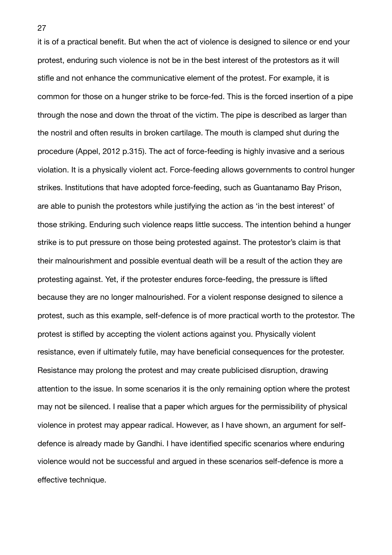it is of a practical benefit. But when the act of violence is designed to silence or end your protest, enduring such violence is not be in the best interest of the protestors as it will stifle and not enhance the communicative element of the protest. For example, it is common for those on a hunger strike to be force-fed. This is the forced insertion of a pipe through the nose and down the throat of the victim. The pipe is described as larger than the nostril and often results in broken cartilage. The mouth is clamped shut during the procedure (Appel, 2012 p.315). The act of force-feeding is highly invasive and a serious violation. It is a physically violent act. Force-feeding allows governments to control hunger strikes. Institutions that have adopted force-feeding, such as Guantanamo Bay Prison, are able to punish the protestors while justifying the action as 'in the best interest' of those striking. Enduring such violence reaps little success. The intention behind a hunger strike is to put pressure on those being protested against. The protestor's claim is that their malnourishment and possible eventual death will be a result of the action they are protesting against. Yet, if the protester endures force-feeding, the pressure is lifted because they are no longer malnourished. For a violent response designed to silence a protest, such as this example, self-defence is of more practical worth to the protestor. The protest is stifled by accepting the violent actions against you. Physically violent resistance, even if ultimately futile, may have beneficial consequences for the protester. Resistance may prolong the protest and may create publicised disruption, drawing attention to the issue. In some scenarios it is the only remaining option where the protest may not be silenced. I realise that a paper which argues for the permissibility of physical violence in protest may appear radical. However, as I have shown, an argument for selfdefence is already made by Gandhi. I have identified specific scenarios where enduring violence would not be successful and argued in these scenarios self-defence is more a effective technique.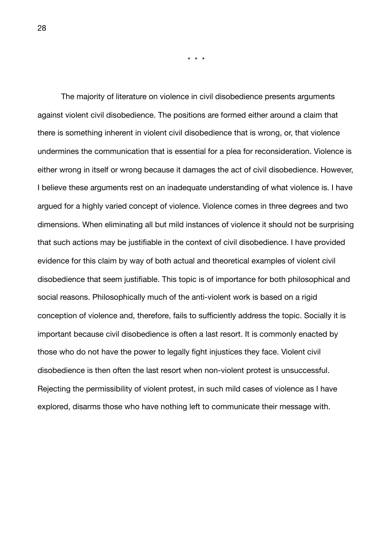\* \* \*

The majority of literature on violence in civil disobedience presents arguments against violent civil disobedience. The positions are formed either around a claim that there is something inherent in violent civil disobedience that is wrong, or, that violence undermines the communication that is essential for a plea for reconsideration. Violence is either wrong in itself or wrong because it damages the act of civil disobedience. However, I believe these arguments rest on an inadequate understanding of what violence is. I have argued for a highly varied concept of violence. Violence comes in three degrees and two dimensions. When eliminating all but mild instances of violence it should not be surprising that such actions may be justifiable in the context of civil disobedience. I have provided evidence for this claim by way of both actual and theoretical examples of violent civil disobedience that seem justifiable. This topic is of importance for both philosophical and social reasons. Philosophically much of the anti-violent work is based on a rigid conception of violence and, therefore, fails to sufficiently address the topic. Socially it is important because civil disobedience is often a last resort. It is commonly enacted by those who do not have the power to legally fight injustices they face. Violent civil disobedience is then often the last resort when non-violent protest is unsuccessful. Rejecting the permissibility of violent protest, in such mild cases of violence as I have explored, disarms those who have nothing left to communicate their message with.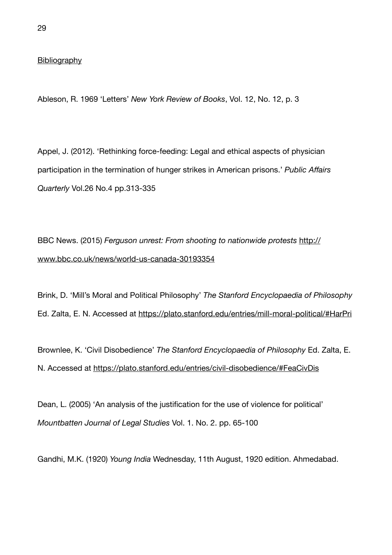#### **Bibliography**

Ableson, R. 1969 'Letters' *New York Review of Books*, Vol. 12, No. 12, p. 3

Appel, J. (2012). 'Rethinking force-feeding: Legal and ethical aspects of physician participation in the termination of hunger strikes in American prisons.' *Public Affairs Quarterly* Vol.26 No.4 pp.313-335

BBC News. (2015) *Ferguson unrest: From shooting to nationwide protests* [http://](http://www.bbc.co.uk/news/world-us-canada-30193354) [www.bbc.co.uk/news/world-us-canada-30193354](http://www.bbc.co.uk/news/world-us-canada-30193354)

Brink, D. 'Mill's Moral and Political Philosophy' *The Stanford Encyclopaedia of Philosophy* Ed. Zalta, E. N. Accessed at<https://plato.stanford.edu/entries/mill-moral-political/#HarPri>

Brownlee, K. 'Civil Disobedience' *The Stanford Encyclopaedia of Philosophy* Ed. Zalta, E. N. Accessed at <https://plato.stanford.edu/entries/civil-disobedience/#FeaCivDis>

Dean, L. (2005) 'An analysis of the justification for the use of violence for political' *Mountbatten Journal of Legal Studies* Vol. 1. No. 2. pp. 65-100

Gandhi, M.K. (1920) *Young India* Wednesday, 11th August, 1920 edition. Ahmedabad.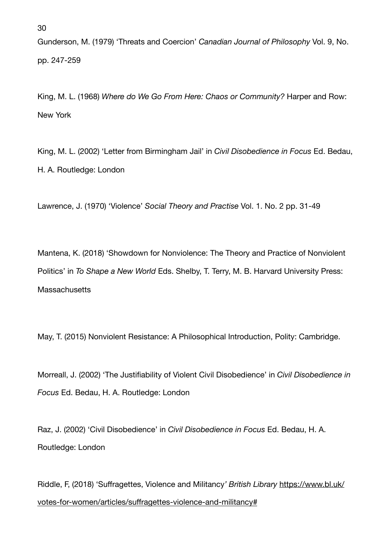Gunderson, M. (1979) 'Threats and Coercion' *Canadian Journal of Philosophy* Vol. 9, No. pp. 247-259

King, M. L. (1968) *Where do We Go From Here: Chaos or Community?* Harper and Row: New York

King, M. L. (2002) 'Letter from Birmingham Jail' in *Civil Disobedience in Focus* Ed. Bedau, H. A. Routledge: London

Lawrence, J. (1970) 'Violence' *Social Theory and Practise* Vol. 1. No. 2 pp. 31-49

Mantena, K. (2018) 'Showdown for Nonviolence: The Theory and Practice of Nonviolent Politics' in *To Shape a New World* Eds. Shelby, T. Terry, M. B. Harvard University Press: **Massachusetts** 

May, T. (2015) Nonviolent Resistance: A Philosophical Introduction, Polity: Cambridge.

Morreall, J. (2002) 'The Justifiability of Violent Civil Disobedience' in *Civil Disobedience in Focus* Ed. Bedau, H. A. Routledge: London

Raz, J. (2002) 'Civil Disobedience' in *Civil Disobedience in Focus* Ed. Bedau, H. A. Routledge: London

Riddle, F, (2018) 'Suffragettes, Violence and Militancy*' British Library* [https://www.bl.uk/](https://www.bl.uk/votes-for-women/articles/suffragettes-violence-and-militancy#) votes-for-women/articles/suff[ragettes-violence-and-militancy#](https://www.bl.uk/votes-for-women/articles/suffragettes-violence-and-militancy#)